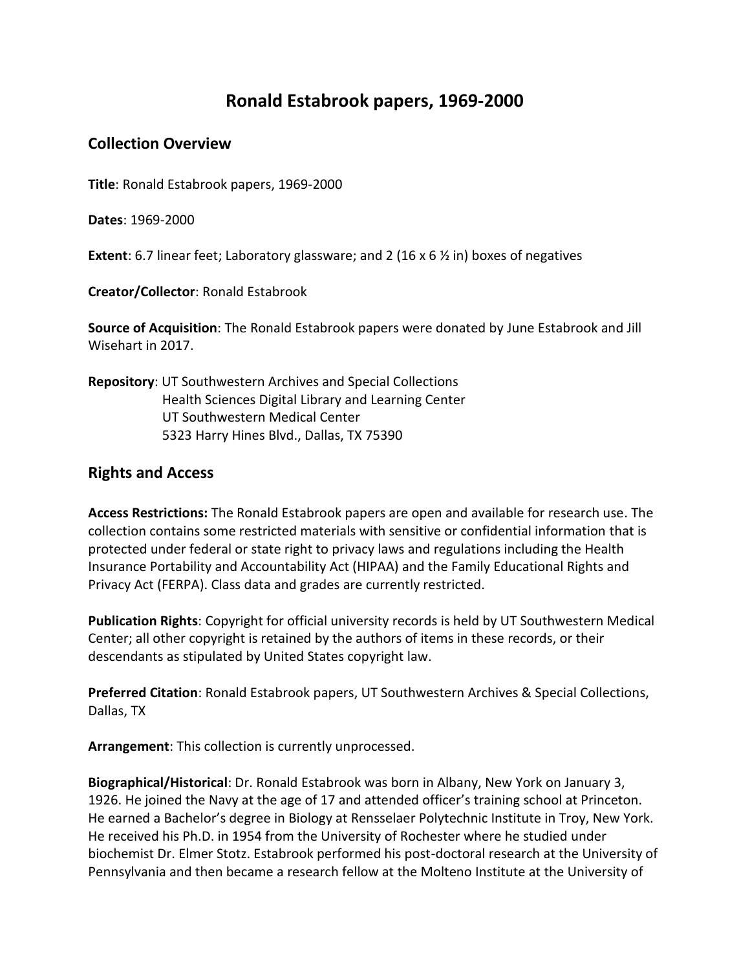## **Ronald Estabrook papers, 1969-2000**

## **Collection Overview**

**Title**: Ronald Estabrook papers, 1969-2000

**Dates**: 1969-2000

**Extent**: 6.7 linear feet; Laboratory glassware; and 2 (16 x 6 ½ in) boxes of negatives

**Creator/Collector**: Ronald Estabrook

**Source of Acquisition**: The Ronald Estabrook papers were donated by June Estabrook and Jill Wisehart in 2017.

## **Repository**: UT Southwestern Archives and Special Collections Health Sciences Digital Library and Learning Center UT Southwestern Medical Center 5323 Harry Hines Blvd., Dallas, TX 75390

## **Rights and Access**

**Access Restrictions:** The Ronald Estabrook papers are open and available for research use. The collection contains some restricted materials with sensitive or confidential information that is protected under federal or state right to privacy laws and regulations including the Health Insurance Portability and Accountability Act (HIPAA) and the Family Educational Rights and Privacy Act (FERPA). Class data and grades are currently restricted.

**Publication Rights**: Copyright for official university records is held by UT Southwestern Medical Center; all other copyright is retained by the authors of items in these records, or their descendants as stipulated by United States copyright law.

**Preferred Citation**: Ronald Estabrook papers, UT Southwestern Archives & Special Collections, Dallas, TX

**Arrangement**: This collection is currently unprocessed.

**Biographical/Historical**: Dr. Ronald Estabrook was born in Albany, New York on January 3, 1926. He joined the Navy at the age of 17 and attended officer's training school at Princeton. He earned a Bachelor's degree in Biology at Rensselaer Polytechnic Institute in Troy, New York. He received his Ph.D. in 1954 from the University of Rochester where he studied under biochemist Dr. Elmer Stotz. Estabrook performed his post-doctoral research at the University of Pennsylvania and then became a research fellow at the Molteno Institute at the University of